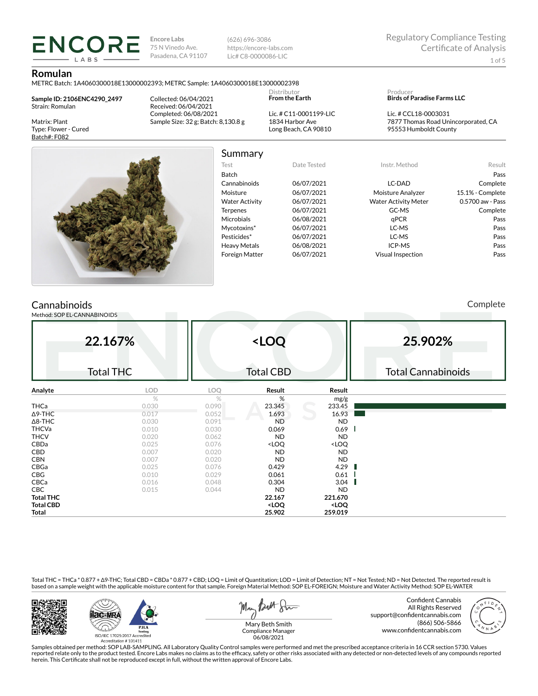(626) 696-3086 https://encore-labs.com Lic# C8-0000086-LIC

### **Romulan**

METRC Batch: 1A4060300018E13000002393; METRC Sample: 1A4060300018E13000002398

**Sample ID: 2106ENC4290\_2497** Strain: Romulan

**ENCORE** LABS

Matrix: Plant Type: Flower - Cured Batch#: F082

Collected: 06/04/2021 Received: 06/04/2021 Completed: 06/08/2021 Sample Size: 32 g; Batch: 8,130.8 g

Lic. # C11-0001199-LIC 1834 Harbor Ave Long Beach, CA 90810

Distributor **From the Earth**

#### Producer **Birds of Paradise Farms LLC**

Lic. # CCL18-0003031 7877 Thomas Road Unincorporated, CA 95553 Humboldt County



# Summary

| <b>Julillial</b> y    |             |                                       |                  |
|-----------------------|-------------|---------------------------------------|------------------|
| Test                  | Date Tested | Instr. Method                         | Result           |
| Batch                 |             |                                       | Pass             |
| Cannabinoids          | 06/07/2021  | LC-DAD                                | Complete         |
| Moisture              | 06/07/2021  | Moisture Analyzer                     | 15.1% - Complete |
| <b>Water Activity</b> | 06/07/2021  | <b>Water Activity Meter</b>           | 0.5700 aw - Pass |
| <b>Terpenes</b>       | 06/07/2021  | GC-MS                                 | Complete         |
| <b>Microbials</b>     | 06/08/2021  | aPCR                                  | Pass             |
| Mycotoxins*           | 06/07/2021  | LC-MS                                 | Pass             |
| Pesticides*           | 06/07/2021  | LC-MS                                 | Pass             |
| <b>Heavy Metals</b>   | 06/08/2021  | ICP-MS                                | Pass             |
| .                     | 0.1070004   | $\mathbf{v}$ . The state $\mathbf{v}$ |                  |

### Batch Pass Cannabinoids 06/07/2021 LC-DAD Complete Moisture 06/07/2021 Moisture Analyzer 15.1% - Complete Water Activity  $06/07/2021$  Water Activity Meter 0.5700 aw - Pass Terpenes 06/07/2021 GC-MS Complete Microbials 06/08/2021 qPCR Pass Mycotoxins\* 06/07/2021 LC-MS Pass Pesticides\* 06/07/2021 LC-MS Pass Heavy Metals 06/08/2021 ICP-MS Pass Foreign Matter 06/07/2021 Visual Inspection Pass

## **Cannabinoids**

Method: SOP EL-CANNABINOIDS

Complete

|                  | 22.167%<br><b>Total THC</b> |       | <loq<br><b>Total CBD</b></loq<br>                        |                              | 25.902%<br><b>Total Cannabinoids</b> |
|------------------|-----------------------------|-------|----------------------------------------------------------|------------------------------|--------------------------------------|
| Analyte          | <b>LOD</b>                  | LOQ   | Result                                                   | Result                       |                                      |
|                  | $\%$                        | %     | %                                                        | mg/g                         |                                      |
| <b>THCa</b>      | 0.030                       | 0.090 | 23.345                                                   | 233.45                       |                                      |
| $\Delta$ 9-THC   | 0.017                       | 0.052 | 1.693                                                    | 16.93                        |                                      |
| $\Delta$ 8-THC   | 0.030                       | 0.091 | <b>ND</b>                                                | <b>ND</b>                    |                                      |
| <b>THCVa</b>     | 0.010                       | 0.030 | 0.069                                                    | 0.69                         |                                      |
| <b>THCV</b>      | 0.020                       | 0.062 | <b>ND</b>                                                | <b>ND</b>                    |                                      |
| CBDa             | 0.025                       | 0.076 | <loq< td=""><td><loq< td=""><td></td></loq<></td></loq<> | <loq< td=""><td></td></loq<> |                                      |
| CBD              | 0.007                       | 0.020 | <b>ND</b>                                                | ND                           |                                      |
| <b>CBN</b>       | 0.007                       | 0.020 | <b>ND</b>                                                | <b>ND</b>                    |                                      |
| CBGa             | 0.025                       | 0.076 | 0.429                                                    | 4.29                         |                                      |
| CBG              | 0.010                       | 0.029 | 0.061                                                    | 0.61                         |                                      |
| CBCa             | 0.016                       | 0.048 | 0.304                                                    | 3.04                         |                                      |
| <b>CBC</b>       | 0.015                       | 0.044 | <b>ND</b>                                                | <b>ND</b>                    |                                      |
| <b>Total THC</b> |                             |       | 22.167                                                   | 221.670                      |                                      |
| <b>Total CBD</b> |                             |       | <loq< th=""><th><loq< th=""><th></th></loq<></th></loq<> | <loq< th=""><th></th></loq<> |                                      |
| Total            |                             |       | 25.902                                                   | 259.019                      |                                      |

Total THC = THCa \* 0.877 + ∆9-THC; Total CBD = CBDa \* 0.877 + CBD; LOQ = Limit of Quantitation; LOD = Limit of Detection; NT = Not Tested; ND = Not Detected. The reported result is based on a sample weight with the applicable moisture content for that sample. Foreign Material Method: SOP EL-FOREIGN; Moisture and Water Activity Method: SOP EL-WATER





But Stre Man

Confident Cannabis All Rights Reserved support@confidentcannabis.com (866) 506-5866 www.confidentcannabis.com



Mary Beth Smith Compliance Manager 06/08/2021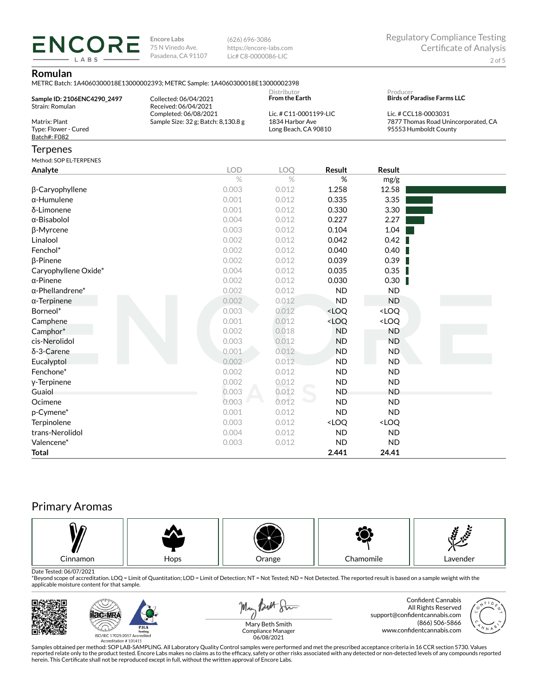(626) 696-3086 https://encore-labs.com Lic# C8-0000086-LIC

## **Romulan**

**ENCORE** LABS

| METRC Batch: 1A4060300018E13000002393: METRC Sample: 1A4060300018E13000002398 |  |
|-------------------------------------------------------------------------------|--|
|-------------------------------------------------------------------------------|--|

| Sample ID: 2106ENC4290_2497<br>Strain: Romulan        | VIETING DAICH. IMPOODOODOLIDE ISOOOODZS75, METING SAHIPIC. IMPOOSOOO IDE ISOOOOO<br>Collected: 06/04/2021<br>Received: 06/04/2021 | Distributor<br><b>From the Earth</b> |                                                                   | Producer<br><b>Birds of Paradise Farms LLC</b> |                                                                                      |
|-------------------------------------------------------|-----------------------------------------------------------------------------------------------------------------------------------|--------------------------------------|-------------------------------------------------------------------|------------------------------------------------|--------------------------------------------------------------------------------------|
| Matrix: Plant<br>Type: Flower - Cured<br>Batch#: F082 | Completed: 06/08/2021<br>Sample Size: 32 g; Batch: 8,130.8 g                                                                      |                                      | Lic. # C11-0001199-LIC<br>1834 Harbor Ave<br>Long Beach, CA 90810 |                                                | Lic. # CCL18-0003031<br>7877 Thomas Road Unincorporated, CA<br>95553 Humboldt County |
| <b>Terpenes</b>                                       |                                                                                                                                   |                                      |                                                                   |                                                |                                                                                      |
| Method: SOP EL-TERPENES                               |                                                                                                                                   |                                      |                                                                   |                                                |                                                                                      |
| Analyte                                               | <b>LOD</b>                                                                                                                        | <b>LOO</b>                           | <b>Result</b>                                                     | <b>Result</b>                                  |                                                                                      |
|                                                       | $\%$                                                                                                                              | $\%$                                 | %                                                                 | mg/g                                           |                                                                                      |
| β-Caryophyllene                                       | 0.003                                                                                                                             | 0.012                                | 1.258                                                             | 12.58                                          |                                                                                      |
| $\alpha$ -Humulene                                    | 0.001                                                                                                                             | 0.012                                | 0.335                                                             | 3.35                                           |                                                                                      |
| δ-Limonene                                            | 0.001                                                                                                                             | 0.012                                | 0.330                                                             | 3.30                                           |                                                                                      |
| $\alpha$ -Bisabolol                                   | 0.004                                                                                                                             | 0.012                                | 0.227                                                             | 2.27                                           |                                                                                      |
| β-Myrcene                                             | 0.003                                                                                                                             | 0.012                                | 0.104                                                             | 1.04                                           |                                                                                      |
| Linalool                                              | 0.002                                                                                                                             | 0.012                                | 0.042                                                             | 0.42                                           |                                                                                      |
| Fenchol*                                              | 0.002                                                                                                                             | 0.012                                | 0.040                                                             | 0.40                                           |                                                                                      |
| $\beta$ -Pinene                                       | 0.002                                                                                                                             | 0.012                                | 0.039                                                             | 0.39                                           |                                                                                      |
| Caryophyllene Oxide*                                  | 0.004                                                                                                                             | 0.012                                | 0.035                                                             | 0.35                                           |                                                                                      |
| $\alpha$ -Pinene                                      | 0.002                                                                                                                             | 0.012                                | 0.030                                                             | 0.30                                           |                                                                                      |
| $\alpha$ -Phellandrene*                               | 0.002                                                                                                                             | 0.012                                | <b>ND</b>                                                         | <b>ND</b>                                      |                                                                                      |
| $\alpha$ -Terpinene                                   | 0.002                                                                                                                             | 0.012                                | <b>ND</b>                                                         | <b>ND</b>                                      |                                                                                      |
| Borneol*                                              | 0.003                                                                                                                             | 0.012                                | <loq< td=""><td><loq< td=""><td></td></loq<></td></loq<>          | <loq< td=""><td></td></loq<>                   |                                                                                      |
| Camphene                                              | 0.001                                                                                                                             | 0.012                                | <loq< td=""><td><loq< td=""><td></td></loq<></td></loq<>          | <loq< td=""><td></td></loq<>                   |                                                                                      |
| Camphor*                                              | 0.002                                                                                                                             | 0.018                                | <b>ND</b>                                                         | <b>ND</b>                                      |                                                                                      |
| cis-Nerolidol                                         | 0.003                                                                                                                             | 0.012                                | <b>ND</b>                                                         | <b>ND</b>                                      |                                                                                      |
| δ-3-Carene                                            | 0.001                                                                                                                             | 0.012                                | <b>ND</b>                                                         | <b>ND</b>                                      |                                                                                      |
| Eucalyptol                                            | 0.002                                                                                                                             | 0.012                                | <b>ND</b>                                                         | <b>ND</b>                                      |                                                                                      |
| Fenchone*                                             | 0.002                                                                                                                             | 0.012                                | <b>ND</b>                                                         | <b>ND</b>                                      |                                                                                      |
| y-Terpinene                                           | 0.002                                                                                                                             | 0.012                                | <b>ND</b>                                                         | <b>ND</b>                                      |                                                                                      |
| Guaiol                                                | 0.003                                                                                                                             | 0.012                                | <b>ND</b>                                                         | <b>ND</b>                                      |                                                                                      |
| Ocimene                                               | 0.003                                                                                                                             | 0.012                                | <b>ND</b>                                                         | <b>ND</b>                                      |                                                                                      |
| p-Cymene*                                             | 0.001                                                                                                                             | 0.012                                | <b>ND</b>                                                         | <b>ND</b>                                      |                                                                                      |
| Terpinolene                                           | 0.003                                                                                                                             | 0.012                                | <loq< td=""><td><loq< td=""><td></td></loq<></td></loq<>          | <loq< td=""><td></td></loq<>                   |                                                                                      |
| trans-Nerolidol                                       | 0.004                                                                                                                             | 0.012                                | <b>ND</b>                                                         | <b>ND</b>                                      |                                                                                      |
| Valencene*                                            | 0.003                                                                                                                             | 0.012                                | <b>ND</b>                                                         | <b>ND</b>                                      |                                                                                      |
| <b>Total</b>                                          |                                                                                                                                   |                                      | 2.441                                                             | 24.41                                          |                                                                                      |

# Primary Aromas



Date Tested: 06/07/2021<br>\*Beyond scope of accreditation. LOQ = Limit of Quantitation; LOD = Limit of Detection; NT = Not Tested; ND = Not Detected. The reported result is based on a sample weight with the applicable moisture content for that sample.



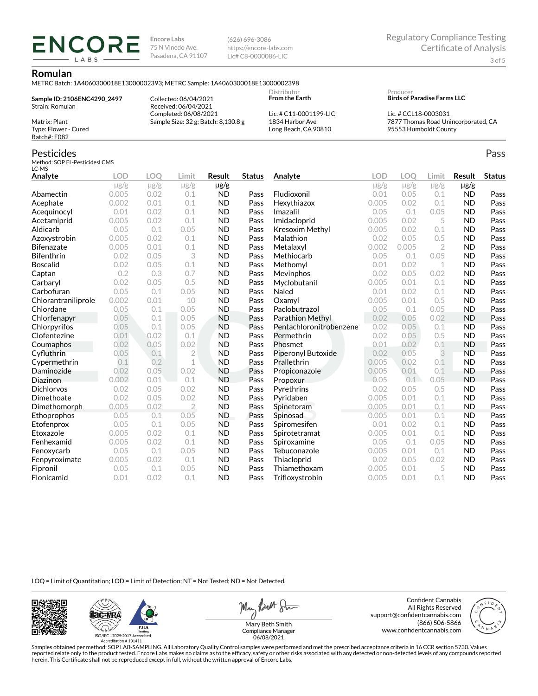(626) 696-3086 https://encore-labs.com Lic# C8-0000086-LIC

#### **Romulan**

METRC Batch: 1A4060300018E13000002393; METRC Sample: 1A4060300018E13000002398

**Sample ID: 2106ENC4290\_2497** Strain: Romulan Matrix: Plant

**ENCOR** LABS

Type: Flower - Cured Batch#: F082

Collected: 06/04/2021 Received: 06/04/2021 Completed: 06/08/2021 Sample Size: 32 g; Batch: 8,130.8 g

Lic. # C11-0001199-LIC 1834 Harbor Ave Long Beach, CA 90810

Distributor **From the Earth**

#### Producer **Birds of Paradise Farms LLC**

Lic. # CCL18-0003031 7877 Thomas Road Unincorporated, CA 95553 Humboldt County

Pass

## Pesticides

Method: SOP EL-PesticidesLCMS LC-MS

| Analyte             | <b>LOD</b> | <b>LOO</b> | Limit          | Result    | <b>Status</b> | Analyte                 | LOD       | LOO       | Limit          | <b>Result</b> | <b>Status</b> |
|---------------------|------------|------------|----------------|-----------|---------------|-------------------------|-----------|-----------|----------------|---------------|---------------|
|                     | $\mu$ g/g  | $\mu$ g/g  | $\mu$ g/g      | µg/g      |               |                         | $\mu$ g/g | $\mu$ g/g | $\mu$ g/g      | $\mu$ g/g     |               |
| Abamectin           | 0.005      | 0.02       | 0.1            | <b>ND</b> | Pass          | Fludioxonil             | 0.01      | 0.05      | 0.1            | <b>ND</b>     | Pass          |
| Acephate            | 0.002      | 0.01       | 0.1            | <b>ND</b> | Pass          | Hexythiazox             | 0.005     | 0.02      | 0.1            | <b>ND</b>     | Pass          |
| Acequinocyl         | 0.01       | 0.02       | 0.1            | <b>ND</b> | Pass          | Imazalil                | 0.05      | 0.1       | 0.05           | <b>ND</b>     | Pass          |
| Acetamiprid         | 0.005      | 0.02       | 0.1            | <b>ND</b> | Pass          | Imidacloprid            | 0.005     | 0.02      | 5              | <b>ND</b>     | Pass          |
| Aldicarb            | 0.05       | 0.1        | 0.05           | <b>ND</b> | Pass          | Kresoxim Methyl         | 0.005     | 0.02      | 0.1            | <b>ND</b>     | Pass          |
| Azoxystrobin        | 0.005      | 0.02       | 0.1            | <b>ND</b> | Pass          | Malathion               | 0.02      | 0.05      | 0.5            | <b>ND</b>     | Pass          |
| <b>Bifenazate</b>   | 0.005      | 0.01       | 0.1            | <b>ND</b> | Pass          | Metalaxyl               | 0.002     | 0.005     | $\overline{2}$ | <b>ND</b>     | Pass          |
| <b>Bifenthrin</b>   | 0.02       | 0.05       | 3              | <b>ND</b> | Pass          | Methiocarb              | 0.05      | 0.1       | 0.05           | <b>ND</b>     | Pass          |
| <b>Boscalid</b>     | 0.02       | 0.05       | 0.1            | <b>ND</b> | Pass          | Methomyl                | 0.01      | 0.02      | 1              | <b>ND</b>     | Pass          |
| Captan              | 0.2        | 0.3        | 0.7            | <b>ND</b> | Pass          | Mevinphos               | 0.02      | 0.05      | 0.02           | <b>ND</b>     | Pass          |
| Carbaryl            | 0.02       | 0.05       | 0.5            | <b>ND</b> | Pass          | Myclobutanil            | 0.005     | 0.01      | 0.1            | <b>ND</b>     | Pass          |
| Carbofuran          | 0.05       | 0.1        | 0.05           | <b>ND</b> | Pass          | Naled                   | 0.01      | 0.02      | 0.1            | <b>ND</b>     | Pass          |
| Chlorantraniliprole | 0.002      | 0.01       | 10             | <b>ND</b> | Pass          | Oxamyl                  | 0.005     | 0.01      | 0.5            | <b>ND</b>     | Pass          |
| Chlordane           | 0.05       | 0.1        | 0.05           | <b>ND</b> | Pass          | Paclobutrazol           | 0.05      | 0.1       | 0.05           | <b>ND</b>     | Pass          |
| Chlorfenapyr        | 0.05       | 0.1        | 0.05           | <b>ND</b> | Pass          | Parathion Methyl        | 0.02      | 0.05      | 0.02           | <b>ND</b>     | Pass          |
| Chlorpyrifos        | 0.05       | 0.1        | 0.05           | <b>ND</b> | Pass          | Pentachloronitrobenzene | 0.02      | 0.05      | 0.1            | <b>ND</b>     | Pass          |
| Clofentezine        | 0.01       | 0.02       | 0.1            | <b>ND</b> | Pass          | Permethrin              | 0.02      | 0.05      | 0.5            | <b>ND</b>     | Pass          |
| Coumaphos           | 0.02       | 0.05       | 0.02           | <b>ND</b> | Pass          | Phosmet                 | 0.01      | 0.02      | 0.1            | <b>ND</b>     | Pass          |
| Cyfluthrin          | 0.05       | 0.1        | $\overline{2}$ | <b>ND</b> | Pass          | Piperonyl Butoxide      | 0.02      | 0.05      | 3              | <b>ND</b>     | Pass          |
| Cypermethrin        | 0.1        | 0.2        | 1              | <b>ND</b> | Pass          | Prallethrin             | 0.005     | 0.02      | 0.1            | <b>ND</b>     | Pass          |
| Daminozide          | 0.02       | 0.05       | 0.02           | <b>ND</b> | Pass          | Propiconazole           | 0.005     | 0.01      | 0.1            | <b>ND</b>     | Pass          |
| Diazinon            | 0.002      | 0.01       | 0.1            | <b>ND</b> | Pass          | Propoxur                | 0.05      | 0.1       | 0.05           | <b>ND</b>     | Pass          |
| <b>Dichlorvos</b>   | 0.02       | 0.05       | 0.02           | <b>ND</b> | Pass          | Pyrethrins              | 0.02      | 0.05      | 0.5            | <b>ND</b>     | Pass          |
| Dimethoate          | 0.02       | 0.05       | 0.02           | <b>ND</b> | Pass          | Pyridaben               | 0.005     | 0.01      | 0.1            | <b>ND</b>     | Pass          |
| Dimethomorph        | 0.005      | 0.02       | $\overline{2}$ | <b>ND</b> | Pass          | Spinetoram              | 0.005     | 0.01      | 0.1            | <b>ND</b>     | Pass          |
| Ethoprophos         | 0.05       | 0.1        | 0.05           | <b>ND</b> | Pass          | Spinosad                | 0.005     | 0.01      | 0.1            | <b>ND</b>     | Pass          |
| Etofenprox          | 0.05       | 0.1        | 0.05           | <b>ND</b> | Pass          | Spiromesifen            | 0.01      | 0.02      | 0.1            | <b>ND</b>     | Pass          |
| Etoxazole           | 0.005      | 0.02       | 0.1            | <b>ND</b> | Pass          | Spirotetramat           | 0.005     | 0.01      | 0.1            | <b>ND</b>     | Pass          |
| Fenhexamid          | 0.005      | 0.02       | 0.1            | <b>ND</b> | Pass          | Spiroxamine             | 0.05      | 0.1       | 0.05           | <b>ND</b>     | Pass          |
| Fenoxycarb          | 0.05       | 0.1        | 0.05           | <b>ND</b> | Pass          | Tebuconazole            | 0.005     | 0.01      | 0.1            | <b>ND</b>     | Pass          |
| Fenpyroximate       | 0.005      | 0.02       | 0.1            | <b>ND</b> | Pass          | Thiacloprid             | 0.02      | 0.05      | 0.02           | <b>ND</b>     | Pass          |
| Fipronil            | 0.05       | 0.1        | 0.05           | <b>ND</b> | Pass          | Thiamethoxam            | 0.005     | 0.01      | 5              | <b>ND</b>     | Pass          |
| Flonicamid          | 0.01       | 0.02       | 0.1            | <b>ND</b> | Pass          | Trifloxystrobin         | 0.005     | 0.01      | 0.1            | <b>ND</b>     | Pass          |

LOQ = Limit of Quantitation; LOD = Limit of Detection; NT = Not Tested; ND = Not Detected.





May Butt Sin

Confident Cannabis All Rights Reserved support@confidentcannabis.com (866) 506-5866 www.confidentcannabis.com



Mary Beth Smith Compliance Manager 06/08/2021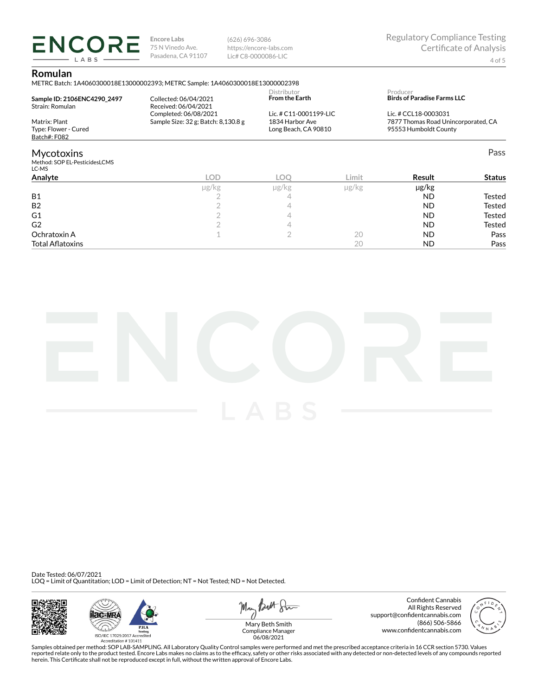(626) 696-3086 https://encore-labs.com Lic# C8-0000086-LIC

### **Romulan**

**ENCORE** LABS

METRC Batch: 1A4060300018E13000002393; METRC Sample: 1A4060300018E13000002398

| Sample ID: 2106ENC4290 2497<br>Strain: Romulan        | Collected: 06/04/2021<br>Received: 06/04/2021                | Distributor<br><b>From the Earth</b>                              |       | Producer<br><b>Birds of Paradise Farms LLC</b>                                       |               |
|-------------------------------------------------------|--------------------------------------------------------------|-------------------------------------------------------------------|-------|--------------------------------------------------------------------------------------|---------------|
| Matrix: Plant<br>Type: Flower - Cured<br>Batch#: F082 | Completed: 06/08/2021<br>Sample Size: 32 g; Batch: 8,130.8 g | Lic. # C11-0001199-LIC<br>1834 Harbor Ave<br>Long Beach, CA 90810 |       | Lic. # CCL18-0003031<br>7877 Thomas Road Unincorporated, CA<br>95553 Humboldt County |               |
| Mycotoxins<br>Method: SOP EL-PesticidesLCMS<br>LC-MS  |                                                              |                                                                   |       |                                                                                      | Pass          |
| Analyte                                               | <b>LOD</b>                                                   | LOO                                                               | Limit | Result                                                                               | <b>Status</b> |
| <b>B1</b>                                             | µg/kg                                                        | µg/kg<br>4                                                        | µg/kg | µg/kg<br><b>ND</b>                                                                   | Tested        |
| <b>B2</b><br>- -                                      |                                                              | 4                                                                 |       | <b>ND</b><br>$\ddotsc$                                                               | Tested        |

| D4                      | - | - |    | שצו       | resteu |
|-------------------------|---|---|----|-----------|--------|
| G <sub>1</sub>          | - |   |    | <b>ND</b> | Tested |
| G <sub>2</sub>          | - |   |    | <b>ND</b> | Tested |
| Ochratoxin A            |   | - | エヒ | ΝD        | Pass   |
| <b>Total Aflatoxins</b> |   |   |    | ND        | Pass   |



Date Tested: 06/07/2021 LOQ = Limit of Quantitation; LOD = Limit of Detection; NT = Not Tested; ND = Not Detected.







Confident Cannabis All Rights Reserved support@confidentcannabis.com (866) 506-5866 www.confidentcannabis.com



Compliance Manager 06/08/2021